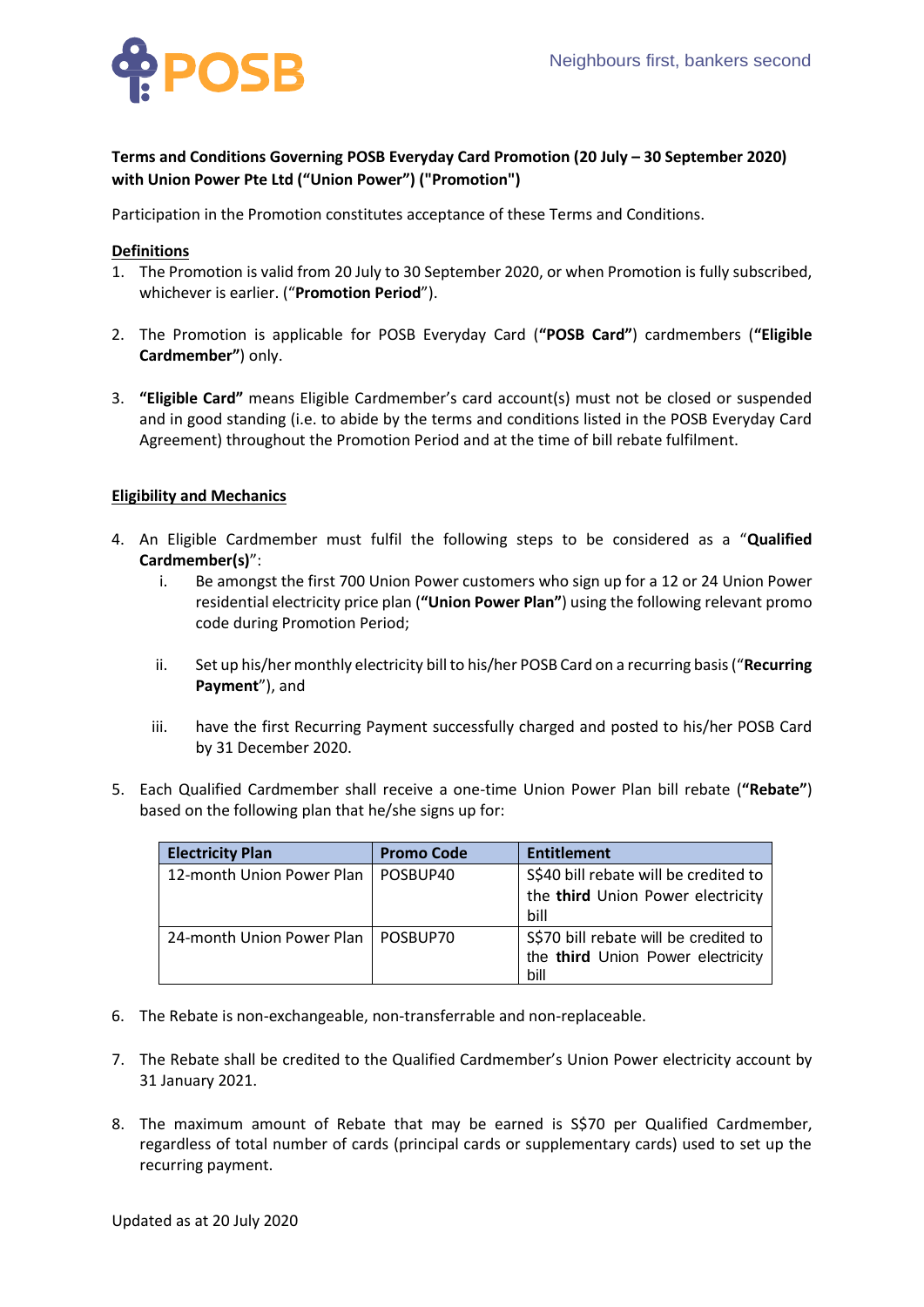

## **Terms and Conditions Governing POSB Everyday Card Promotion (20 July – 30 September 2020) with Union Power Pte Ltd ("Union Power") ("Promotion")**

Participation in the Promotion constitutes acceptance of these Terms and Conditions.

## **Definitions**

- 1. The Promotion is valid from 20 July to 30 September 2020, or when Promotion is fully subscribed, whichever is earlier. ("**Promotion Period**").
- 2. The Promotion is applicable for POSB Everyday Card (**"POSB Card"**) cardmembers (**"Eligible Cardmember"**) only.
- 3. **"Eligible Card"** means Eligible Cardmember's card account(s) must not be closed or suspended and in good standing (i.e. to abide by the terms and conditions listed in the POSB Everyday Card Agreement) throughout the Promotion Period and at the time of bill rebate fulfilment.

## **Eligibility and Mechanics**

- 4. An Eligible Cardmember must fulfil the following steps to be considered as a "**Qualified Cardmember(s)**":
	- i. Be amongst the first 700 Union Power customers who sign up for a 12 or 24 Union Power residential electricity price plan (**"Union Power Plan"**) using the following relevant promo code during Promotion Period;
	- ii. Set up his/her monthly electricity bill to his/her POSB Card on a recurring basis ("**Recurring Payment**"), and
	- iii. have the first Recurring Payment successfully charged and posted to his/her POSB Card by 31 December 2020.
- 5. Each Qualified Cardmember shall receive a one-time Union Power Plan bill rebate (**"Rebate"**) based on the following plan that he/she signs up for:

| <b>Electricity Plan</b>   | <b>Promo Code</b> | <b>Entitlement</b>                    |
|---------------------------|-------------------|---------------------------------------|
| 12-month Union Power Plan | POSBUP40          | S\$40 bill rebate will be credited to |
|                           |                   | the third Union Power electricity     |
|                           |                   | bill                                  |
| 24-month Union Power Plan | POSBUP70          | S\$70 bill rebate will be credited to |
|                           |                   | the third Union Power electricity     |
|                           |                   | bill                                  |

- 6. The Rebate is non-exchangeable, non-transferrable and non-replaceable.
- 7. The Rebate shall be credited to the Qualified Cardmember's Union Power electricity account by 31 January 2021.
- 8. The maximum amount of Rebate that may be earned is S\$70 per Qualified Cardmember, regardless of total number of cards (principal cards or supplementary cards) used to set up the recurring payment.